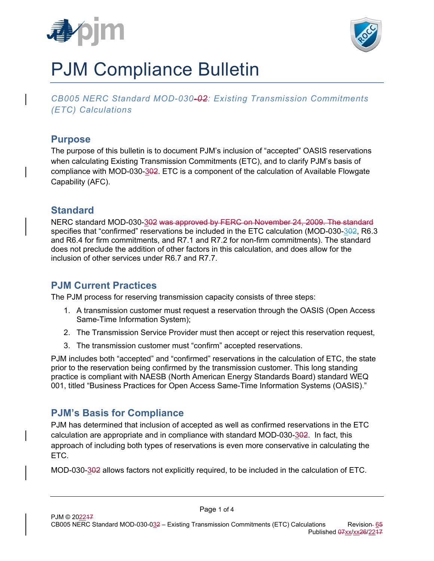



# PJM Compliance Bulletin

*CB005 NERC Standard MOD-030-02: Existing Transmission Commitments (ETC) Calculations* 

#### **Purpose**

The purpose of this bulletin is to document PJM's inclusion of "accepted" OASIS reservations when calculating Existing Transmission Commitments (ETC), and to clarify PJM's basis of compliance with MOD-030-302. ETC is a component of the calculation of Available Flowgate Capability (AFC).

#### **Standard**

NERC standard MOD-030-302 was approved by FERC on November 24, 2009. The standard specifies that "confirmed" reservations be included in the ETC calculation (MOD-030-302, R6.3 and R6.4 for firm commitments, and R7.1 and R7.2 for non-firm commitments). The standard does not preclude the addition of other factors in this calculation, and does allow for the inclusion of other services under R6.7 and R7.7.

### **PJM Current Practices**

The PJM process for reserving transmission capacity consists of three steps:

- 1. A transmission customer must request a reservation through the OASIS (Open Access Same-Time Information System);
- 2. The Transmission Service Provider must then accept or reject this reservation request,
- 3. The transmission customer must "confirm" accepted reservations.

PJM includes both "accepted" and "confirmed" reservations in the calculation of ETC, the state prior to the reservation being confirmed by the transmission customer. This long standing practice is compliant with NAESB (North American Energy Standards Board) standard WEQ 001, titled "Business Practices for Open Access Same-Time Information Systems (OASIS)."

## **PJM's Basis for Compliance**

PJM has determined that inclusion of accepted as well as confirmed reservations in the ETC calculation are appropriate and in compliance with standard MOD-030-302. In fact, this approach of including both types of reservations is even more conservative in calculating the ETC.

MOD-030-302 allows factors not explicitly required, to be included in the calculation of ETC.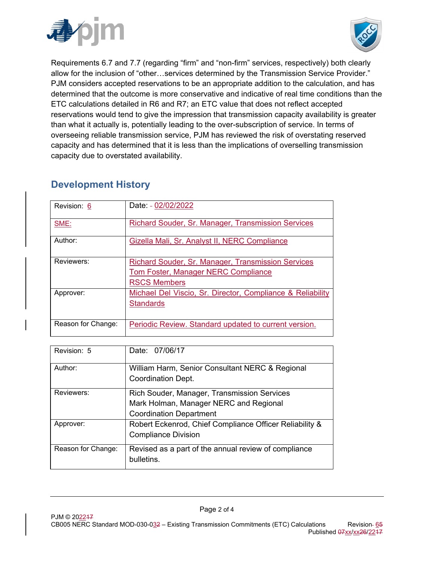



Requirements 6.7 and 7.7 (regarding "firm" and "non-firm" services, respectively) both clearly allow for the inclusion of "other…services determined by the Transmission Service Provider." PJM considers accepted reservations to be an appropriate addition to the calculation, and has determined that the outcome is more conservative and indicative of real time conditions than the ETC calculations detailed in R6 and R7; an ETC value that does not reflect accepted reservations would tend to give the impression that transmission capacity availability is greater than what it actually is, potentially leading to the over-subscription of service. In terms of overseeing reliable transmission service, PJM has reviewed the risk of overstating reserved capacity and has determined that it is less than the implications of overselling transmission capacity due to overstated availability.

## **Development History**

| Revision: 6        | Date: - 02/02/2022                                                                                                             |
|--------------------|--------------------------------------------------------------------------------------------------------------------------------|
| SME:               | <b>Richard Souder, Sr. Manager, Transmission Services</b>                                                                      |
| Author:            | Gizella Mali, Sr. Analyst II, NERC Compliance                                                                                  |
| Reviewers:         | <b>Richard Souder, Sr. Manager, Transmission Services</b><br><b>Tom Foster, Manager NERC Compliance</b><br><b>RSCS Members</b> |
| Approver:          | Michael Del Viscio, Sr. Director, Compliance & Reliability<br><b>Standards</b>                                                 |
| Reason for Change: | Periodic Review. Standard updated to current version.                                                                          |

| Revision: 5        | Date: 07/06/17                                                                                                          |
|--------------------|-------------------------------------------------------------------------------------------------------------------------|
| Author:            | William Harm, Senior Consultant NERC & Regional<br>Coordination Dept.                                                   |
| Reviewers:         | Rich Souder, Manager, Transmission Services<br>Mark Holman, Manager NERC and Regional<br><b>Coordination Department</b> |
| Approver:          | Robert Eckenrod, Chief Compliance Officer Reliability &<br><b>Compliance Division</b>                                   |
| Reason for Change: | Revised as a part of the annual review of compliance<br>bulletins.                                                      |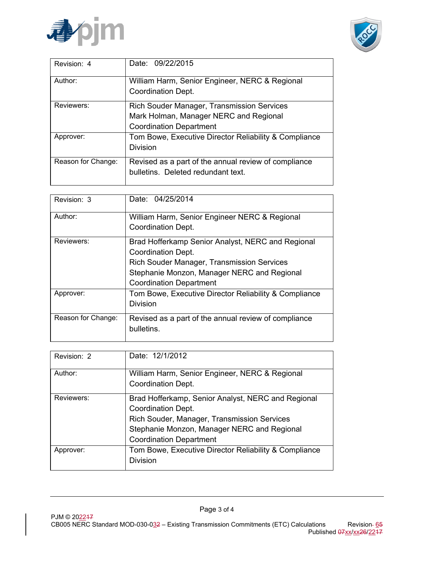



| Revision: 4        | Date: 09/22/2015                                                                                                              |
|--------------------|-------------------------------------------------------------------------------------------------------------------------------|
| Author:            | William Harm, Senior Engineer, NERC & Regional<br>Coordination Dept.                                                          |
| Reviewers:         | <b>Rich Souder Manager, Transmission Services</b><br>Mark Holman, Manager NERC and Regional<br><b>Coordination Department</b> |
| Approver:          | Tom Bowe, Executive Director Reliability & Compliance<br><b>Division</b>                                                      |
| Reason for Change: | Revised as a part of the annual review of compliance<br>bulletins. Deleted redundant text.                                    |

| Revision: 3        | Date: 04/25/2014                                      |
|--------------------|-------------------------------------------------------|
| Author:            | William Harm, Senior Engineer NERC & Regional         |
|                    | <b>Coordination Dept.</b>                             |
| Reviewers:         | Brad Hofferkamp Senior Analyst, NERC and Regional     |
|                    | <b>Coordination Dept.</b>                             |
|                    | Rich Souder Manager, Transmission Services            |
|                    | Stephanie Monzon, Manager NERC and Regional           |
|                    | <b>Coordination Department</b>                        |
| Approver:          | Tom Bowe, Executive Director Reliability & Compliance |
|                    | <b>Division</b>                                       |
| Reason for Change: | Revised as a part of the annual review of compliance  |
|                    | bulletins.                                            |
|                    |                                                       |

| Revision: 2 | Date: 12/1/2012                                                      |
|-------------|----------------------------------------------------------------------|
| Author:     | William Harm, Senior Engineer, NERC & Regional<br>Coordination Dept. |
|             |                                                                      |
| Reviewers:  | Brad Hofferkamp, Senior Analyst, NERC and Regional                   |
|             | Coordination Dept.                                                   |
|             | Rich Souder, Manager, Transmission Services                          |
|             | Stephanie Monzon, Manager NERC and Regional                          |
|             | <b>Coordination Department</b>                                       |
| Approver:   | Tom Bowe, Executive Director Reliability & Compliance                |
|             | <b>Division</b>                                                      |
|             |                                                                      |